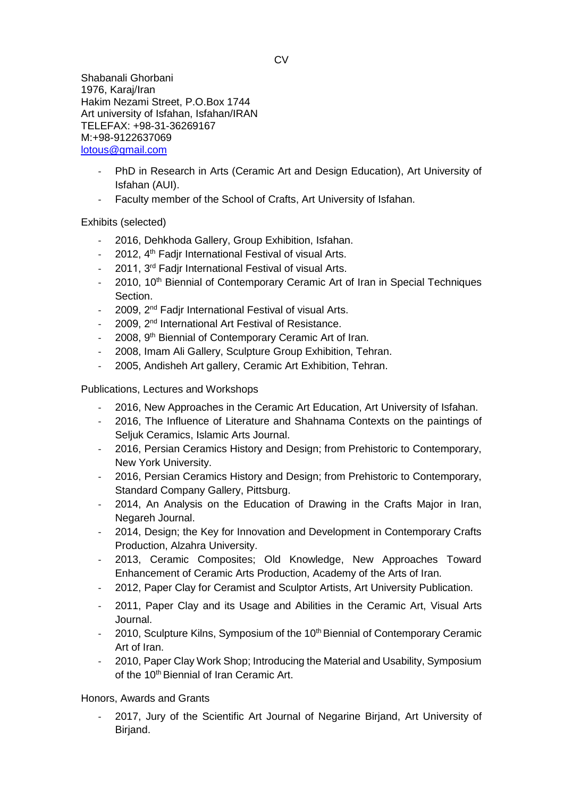Shabanali Ghorbani 1976, Karaj/Iran Hakim Nezami Street, P.O.Box 1744 Art university of Isfahan, Isfahan/IRAN TELEFAX: +98-31-36269167 M:+98-9122637069 [lotous@gmail.com](mailto:lotous@gmail.com)

- PhD in Research in Arts (Ceramic Art and Design Education), Art University of Isfahan (AUI).
- Faculty member of the School of Crafts, Art University of Isfahan.

Exhibits (selected)

- 2016, Dehkhoda Gallery, Group Exhibition, Isfahan.
- 2012, 4<sup>th</sup> Fadjr International Festival of visual Arts.
- 2011, 3<sup>rd</sup> Fadjr International Festival of visual Arts.
- 2010, 10<sup>th</sup> Biennial of Contemporary Ceramic Art of Iran in Special Techniques Section.
- 2009, 2<sup>nd</sup> Fadjr International Festival of visual Arts.
- 2009, 2<sup>nd</sup> International Art Festival of Resistance.
- 2008, 9<sup>th</sup> Biennial of Contemporary Ceramic Art of Iran.
- 2008, Imam Ali Gallery, Sculpture Group Exhibition, Tehran.
- 2005, Andisheh Art gallery, Ceramic Art Exhibition, Tehran.

Publications, Lectures and Workshops

- 2016, New Approaches in the Ceramic Art Education, Art University of Isfahan.
- 2016, The Influence of Literature and Shahnama Contexts on the paintings of Seljuk Ceramics, Islamic Arts Journal.
- 2016, Persian Ceramics History and Design; from Prehistoric to Contemporary, New York University.
- 2016, Persian Ceramics History and Design; from Prehistoric to Contemporary, Standard Company Gallery, Pittsburg.
- 2014, An Analysis on the Education of Drawing in the Crafts Major in Iran, Negareh Journal.
- 2014, Design; the Key for Innovation and Development in Contemporary Crafts Production, Alzahra University.
- 2013, Ceramic Composites; Old Knowledge, New Approaches Toward Enhancement of Ceramic Arts Production, Academy of the Arts of Iran.
- 2012, Paper Clay for Ceramist and Sculptor Artists, Art University Publication.
- 2011, Paper Clay and its Usage and Abilities in the Ceramic Art, Visual Arts Journal.
- 2010, Sculpture Kilns, Symposium of the 10<sup>th</sup> Biennial of Contemporary Ceramic Art of Iran.
- 2010, Paper Clay Work Shop; Introducing the Material and Usability, Symposium of the 10<sup>th</sup> Biennial of Iran Ceramic Art.

Honors, Awards and Grants

2017, Jury of the Scientific Art Journal of Negarine Birjand, Art University of Birjand.